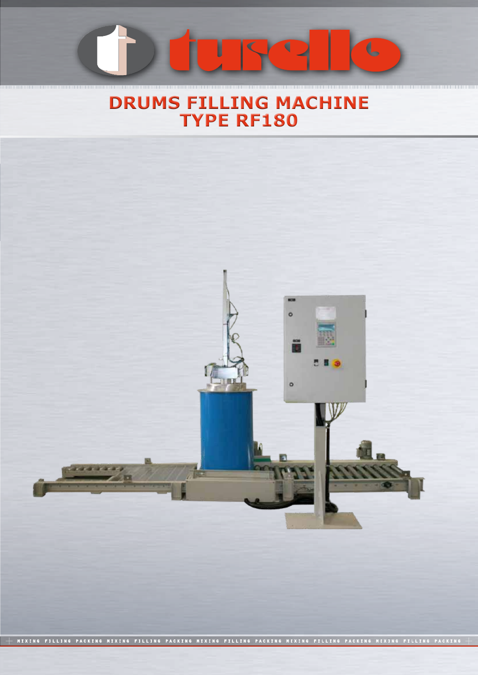# $\overline{\mathbf{C}}$ I

## **DRUMS FILLING MACHINE TYPE RF180**



mixing filling packing mixing filling packing mixing filling packing mixing filling packing mixing filling packing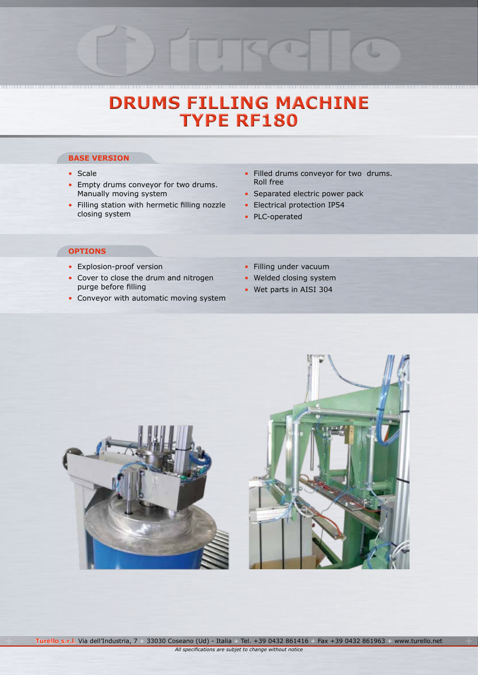### **DRUMS FILLING MACHINE TYPE RF180**

#### **BASE VERSION FOR HIGH VISIT SPECIAL VERSION FOR HIGH VISIT SPECIAL VERSION FOR HIGH VISIT SPECIAL VERSION**

• Scale

- Empty drums conveyor for two drums. Manually moving system
- Filling station with hermetic filling nozzle closing system
- Filled drums conveyor for two drums. Roll free

 $\epsilon$ 

- Separated electric power pack
- Electrical protection IP54
- PLC-operated

#### **opTionS**

- Explosion-proof version
- Cover to close the drum and nitrogen purge before filling
- Conveyor with automatic moving system
- Filling under vacuum
- Welded closing system
- Wet parts in AISI 304



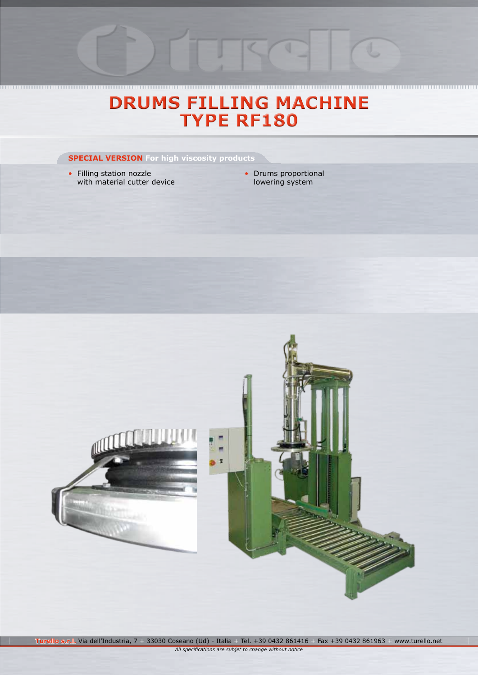### **DRUMS FILLING MACHINE TYPE RF180**

**SPECIAL VERSION** For high viscosity products

- Filling station nozzle with material cutter device
- Drums proportional lowering system